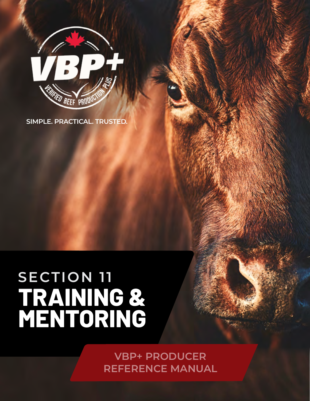

**SIMPLE. PRACTICAL. TRUSTED.**

### **TRAINING & MENTORING SECTION 11**

**VBP+ PRODUCER REFERENCE MANUAL**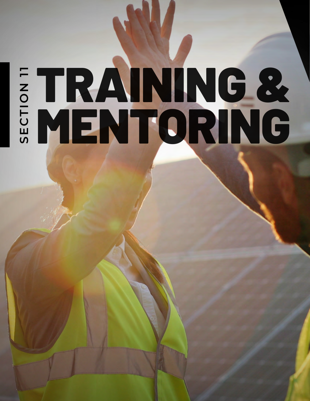# TRAINING & **SECTION 11** MENTORING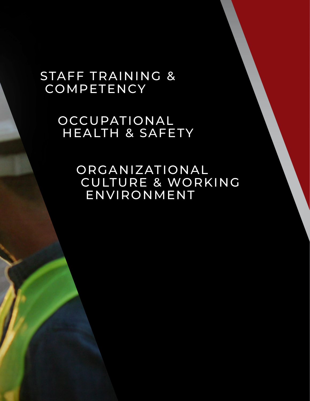### STAFF TRAINING & COMPETENCY

OCCUPATIONAL HEALTH & SAFETY

> ORGANIZATIONAL CULTURE & WORKING ENVIRONMENT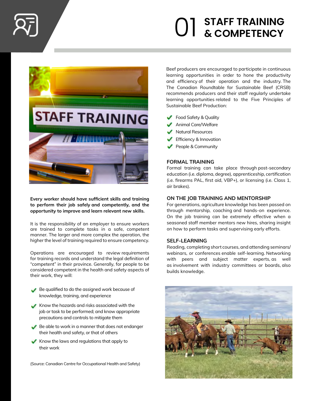

## **STAFF TRAINING** 01 **& COMPETENCY**



**Every worker should have sufficient skills and training to perform their job safely and competently, and the opportunity to improve and learn relevant new skills.**

It is the responsibility of an employer to ensure workers are trained to complete tasks in a safe, competent manner. The larger and more complex the operation, the higher the level of training required to ensure competency.

Operations are encouraged to review requirements for training records and understand the legal definition of "competent" in their province. Generally, for people to be considered competent in the health and safety aspects of their work, they will:

- Be qualified to do the assigned work because of knowledge, training, and experience
- Know the hazards and risks associated with the job or task to be performed; and know appropriate precautions and controls to mitigate them
- Be able to work in a manner that does not endanger their health and safety, or that of others
- Know the laws and regulations that apply to their work

(Source: Canadian Centre for Occupational Health and Safety)

Beef producers are encouraged to participate in continuous learning opportunities in order to hone the productivity and efficiency of their operation and the industry. The The Canadian Roundtable for Sustainable Beef (CRSB) recommends producers and their staff regularly undertake learning opportunities related to the Five Principles of Sustainable Beef Production:

- Food Safety & Quality
- Animal Care/Welfare
- K Natural Resources
- **Efficiency & Innovation**
- People & Community

#### **FORMAL TRAINING**

Formal training can take place through post-secondary education (i.e. diploma, degree), apprenticeship, certification (i.e. firearms PAL, first aid, VBP+), or licensing (i.e. Class 1, air brakes).

#### **ON THE JOB TRAINING AND MENTORSHIP**

For generations, agriculture knowledge has been passed on through mentorship, coaching and hands-on experience. On the job training can be extremely effective when a seasoned staff member mentors new hires, sharing insight on how to perform tasks and supervising early efforts.

#### **SELF-LEARNING**

Reading, completing short courses, and attending seminars/ webinars, or conferences enable self-learning. Networking with peers and subject matter experts, as well as involvement with industry committees or boards, also builds knowledge.

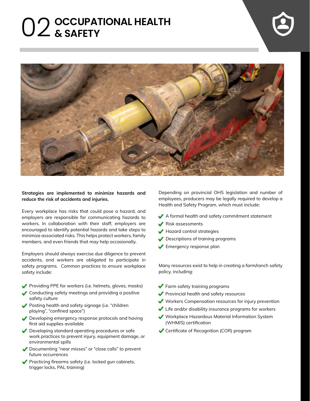## **OCCUPATIONAL HEALTH** 02 **& SAFETY**





#### **Strategies are implemented to minimize hazards and reduce the risk of accidents and injuries.**

Every workplace has risks that could pose a hazard, and employers are responsible for communicating hazards to workers. In collaboration with their staff, employers are encouraged to identify potential hazards and take steps to minimize associated risks. This helps protect workers, family members, and even friends that may help occasionally.

Employers should always exercise due diligence to prevent accidents, and workers are obligated to participate in safety programs. Common practices to ensure workplace safety include:

- **Providing PPE for workers (i.e. helmets, gloves, masks)**
- Conducting safety meetings and providing a positive safety culture
- Posting health and safety signage (i.e. "children playing", "confined space")
- Developing emergency response protocols and having first aid supplies available
- Developing standard operating procedures or safe work practices to prevent injury, equipment damage, or environmental spills
- Documenting "near misses" or "close calls" to prevent future occurrences
- **Practicing firearms safety (i.e. locked gun cabinets,** trigger locks, PAL training)

Depending on provincial OHS legislation and number of employees, producers may be legally required to develop a Health and Safety Program, which must include:

- A formal health and safety commitment statement
- Risk assessments
- Hazard control strategies
- **Descriptions of training programs**
- **Emergency response plan**

Many resources exist to help in creating a farm/ranch safety policy, including:

- **Farm safety training programs**
- **Provincial health and safety resources**
- Workers Compensation resources for injury prevention
- Life and/or disability insurance programs for workers
- Workplace Hazardous Material Information System (WHMIS) certification
- Certificate of Recognition (COR) program